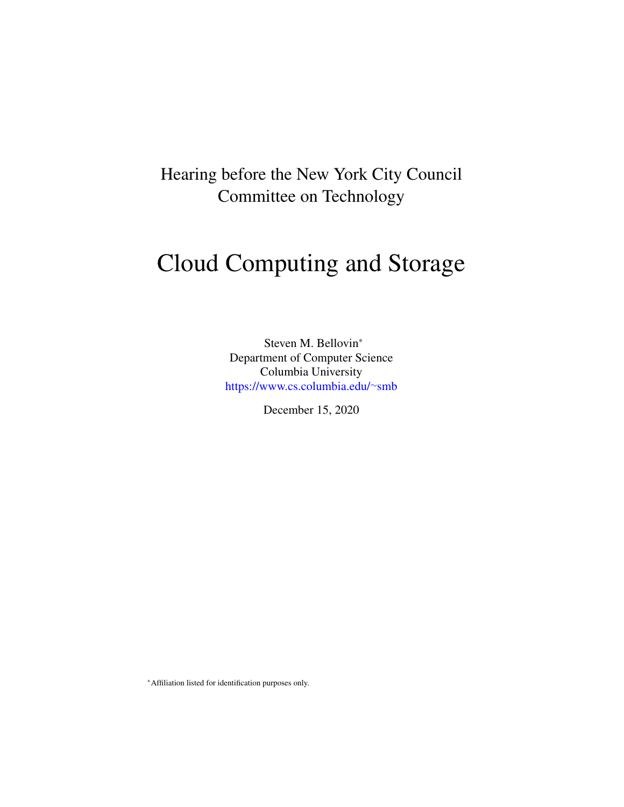Hearing before the New York City Council Committee on Technology

# Cloud Computing and Storage

Steven M. Bellovin\* Department of Computer Science Columbia University [https://www.cs.columbia.edu/](https://www.cs.columbia.edu/~smb)∼smb

December 15, 2020

\*Affiliation listed for identification purposes only.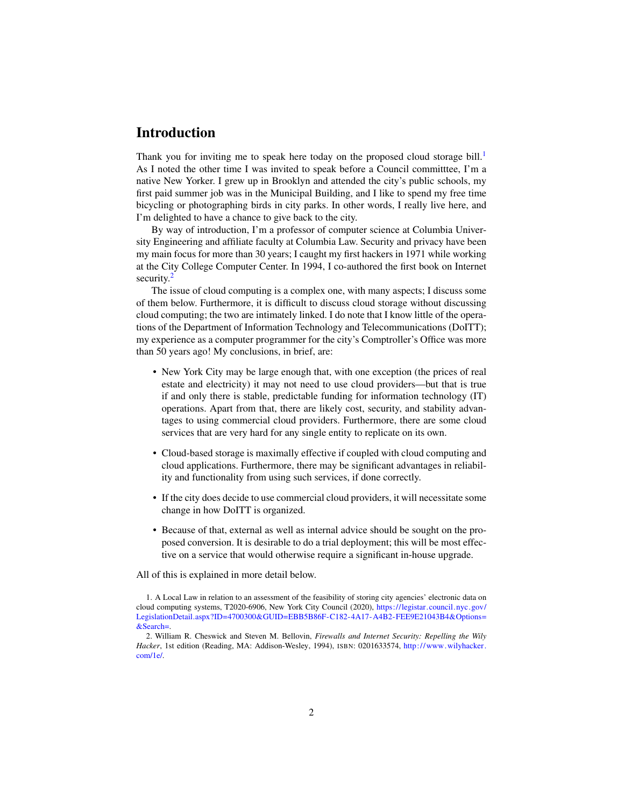## Introduction

Thank you for inviting me to speak here today on the proposed cloud storage bill.<sup>[1](#page-1-0)</sup> As I noted the other time I was invited to speak before a Council committtee, I'm a native New Yorker. I grew up in Brooklyn and attended the city's public schools, my first paid summer job was in the Municipal Building, and I like to spend my free time bicycling or photographing birds in city parks. In other words, I really live here, and I'm delighted to have a chance to give back to the city.

By way of introduction, I'm a professor of computer science at Columbia University Engineering and affiliate faculty at Columbia Law. Security and privacy have been my main focus for more than 30 years; I caught my first hackers in 1971 while working at the City College Computer Center. In 1994, I co-authored the first book on Internet security.<sup>[2](#page-1-1)</sup>

The issue of cloud computing is a complex one, with many aspects; I discuss some of them below. Furthermore, it is difficult to discuss cloud storage without discussing cloud computing; the two are intimately linked. I do note that I know little of the operations of the Department of Information Technology and Telecommunications (DoITT); my experience as a computer programmer for the city's Comptroller's Office was more than 50 years ago! My conclusions, in brief, are:

- New York City may be large enough that, with one exception (the prices of real estate and electricity) it may not need to use cloud providers—but that is true if and only there is stable, predictable funding for information technology (IT) operations. Apart from that, there are likely cost, security, and stability advantages to using commercial cloud providers. Furthermore, there are some cloud services that are very hard for any single entity to replicate on its own.
- Cloud-based storage is maximally effective if coupled with cloud computing and cloud applications. Furthermore, there may be significant advantages in reliability and functionality from using such services, if done correctly.
- If the city does decide to use commercial cloud providers, it will necessitate some change in how DoITT is organized.
- Because of that, external as well as internal advice should be sought on the proposed conversion. It is desirable to do a trial deployment; this will be most effective on a service that would otherwise require a significant in-house upgrade.

All of this is explained in more detail below.

<span id="page-1-0"></span><sup>1.</sup> A Local Law in relation to an assessment of the feasibility of storing city agencies' electronic data on cloud computing systems, T2020-6906, New York City Council (2020), [https://legistar.council.nyc.gov/](https://legistar.council.nyc.gov/LegislationDetail.aspx?ID=4700300&GUID=EBB5B86F-C182-4A17-A4B2-FEE9E21043B4&Options=&Search=) [LegislationDetail.aspx?ID=4700300&GUID=EBB5B86F-C182-4A17-A4B2-FEE9E21043B4&Options=](https://legistar.council.nyc.gov/LegislationDetail.aspx?ID=4700300&GUID=EBB5B86F-C182-4A17-A4B2-FEE9E21043B4&Options=&Search=) [&Search=.](https://legistar.council.nyc.gov/LegislationDetail.aspx?ID=4700300&GUID=EBB5B86F-C182-4A17-A4B2-FEE9E21043B4&Options=&Search=)

<span id="page-1-1"></span><sup>2.</sup> William R. Cheswick and Steven M. Bellovin, *Firewalls and Internet Security: Repelling the Wily Hacker*, 1st edition (Reading, MA: Addison-Wesley, 1994), ISBN: 0201633574, [http://www.wilyhacker.](http://www.wilyhacker.com/1e/) [com/1e/.](http://www.wilyhacker.com/1e/)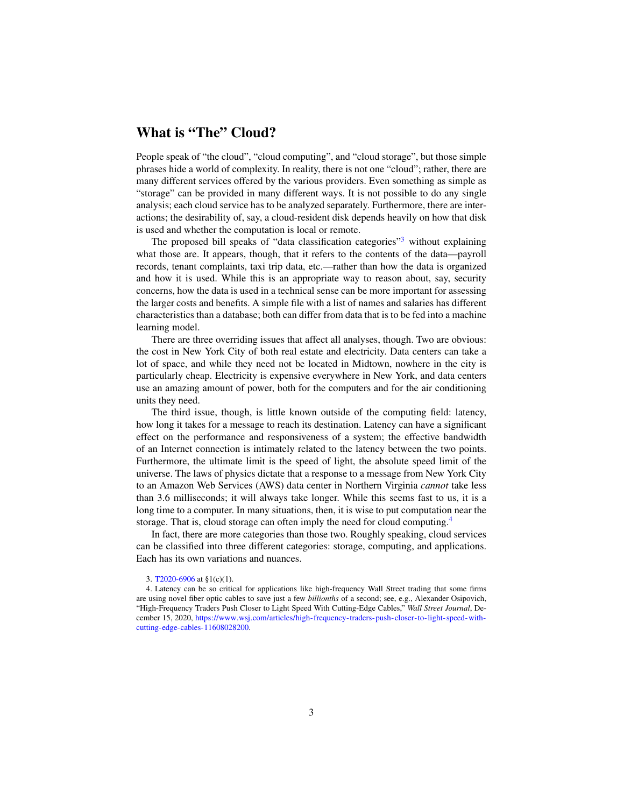## What is "The" Cloud?

People speak of "the cloud", "cloud computing", and "cloud storage", but those simple phrases hide a world of complexity. In reality, there is not one "cloud"; rather, there are many different services offered by the various providers. Even something as simple as "storage" can be provided in many different ways. It is not possible to do any single analysis; each cloud service has to be analyzed separately. Furthermore, there are interactions; the desirability of, say, a cloud-resident disk depends heavily on how that disk is used and whether the computation is local or remote.

The proposed bill speaks of "data classification categories"<sup>[3](#page-2-0)</sup> without explaining what those are. It appears, though, that it refers to the contents of the data—payroll records, tenant complaints, taxi trip data, etc.—rather than how the data is organized and how it is used. While this is an appropriate way to reason about, say, security concerns, how the data is used in a technical sense can be more important for assessing the larger costs and benefits. A simple file with a list of names and salaries has different characteristics than a database; both can differ from data that is to be fed into a machine learning model.

There are three overriding issues that affect all analyses, though. Two are obvious: the cost in New York City of both real estate and electricity. Data centers can take a lot of space, and while they need not be located in Midtown, nowhere in the city is particularly cheap. Electricity is expensive everywhere in New York, and data centers use an amazing amount of power, both for the computers and for the air conditioning units they need.

The third issue, though, is little known outside of the computing field: latency, how long it takes for a message to reach its destination. Latency can have a significant effect on the performance and responsiveness of a system; the effective bandwidth of an Internet connection is intimately related to the latency between the two points. Furthermore, the ultimate limit is the speed of light, the absolute speed limit of the universe. The laws of physics dictate that a response to a message from New York City to an Amazon Web Services (AWS) data center in Northern Virginia *cannot* take less than 3.6 milliseconds; it will always take longer. While this seems fast to us, it is a long time to a computer. In many situations, then, it is wise to put computation near the storage. That is, cloud storage can often imply the need for cloud computing.[4](#page-2-1)

In fact, there are more categories than those two. Roughly speaking, cloud services can be classified into three different categories: storage, computing, and applications. Each has its own variations and nuances.

<span id="page-2-1"></span><span id="page-2-0"></span><sup>3.</sup> [T2020-6906](#page-1-0) at §1(c)(1).

<sup>4.</sup> Latency can be so critical for applications like high-frequency Wall Street trading that some firms are using novel fiber optic cables to save just a few *billionths* of a second; see, e.g., Alexander Osipovich, "High-Frequency Traders Push Closer to Light Speed With Cutting-Edge Cables," *Wall Street Journal*, December 15, 2020, [https://www.wsj.com/articles/high- frequency-traders-push-closer-to-light-speed-with](https://www.wsj.com/articles/high-frequency-traders-push-closer-to-light-speed-with-cutting-edge-cables-11608028200)[cutting-edge-cables-11608028200.](https://www.wsj.com/articles/high-frequency-traders-push-closer-to-light-speed-with-cutting-edge-cables-11608028200)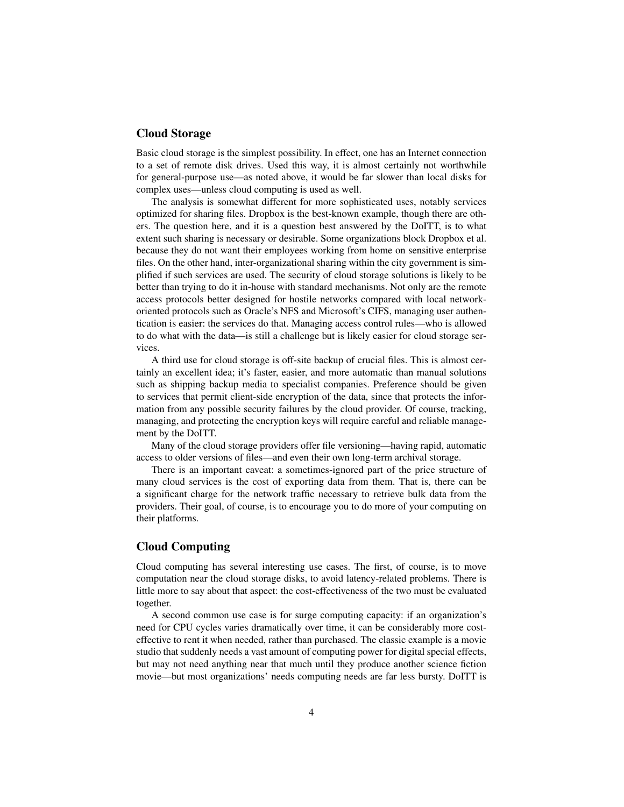#### Cloud Storage

Basic cloud storage is the simplest possibility. In effect, one has an Internet connection to a set of remote disk drives. Used this way, it is almost certainly not worthwhile for general-purpose use—as noted above, it would be far slower than local disks for complex uses—unless cloud computing is used as well.

The analysis is somewhat different for more sophisticated uses, notably services optimized for sharing files. Dropbox is the best-known example, though there are others. The question here, and it is a question best answered by the DoITT, is to what extent such sharing is necessary or desirable. Some organizations block Dropbox et al. because they do not want their employees working from home on sensitive enterprise files. On the other hand, inter-organizational sharing within the city government is simplified if such services are used. The security of cloud storage solutions is likely to be better than trying to do it in-house with standard mechanisms. Not only are the remote access protocols better designed for hostile networks compared with local networkoriented protocols such as Oracle's NFS and Microsoft's CIFS, managing user authentication is easier: the services do that. Managing access control rules—who is allowed to do what with the data—is still a challenge but is likely easier for cloud storage services.

A third use for cloud storage is off-site backup of crucial files. This is almost certainly an excellent idea; it's faster, easier, and more automatic than manual solutions such as shipping backup media to specialist companies. Preference should be given to services that permit client-side encryption of the data, since that protects the information from any possible security failures by the cloud provider. Of course, tracking, managing, and protecting the encryption keys will require careful and reliable management by the DoITT.

Many of the cloud storage providers offer file versioning—having rapid, automatic access to older versions of files—and even their own long-term archival storage.

There is an important caveat: a sometimes-ignored part of the price structure of many cloud services is the cost of exporting data from them. That is, there can be a significant charge for the network traffic necessary to retrieve bulk data from the providers. Their goal, of course, is to encourage you to do more of your computing on their platforms.

#### Cloud Computing

Cloud computing has several interesting use cases. The first, of course, is to move computation near the cloud storage disks, to avoid latency-related problems. There is little more to say about that aspect: the cost-effectiveness of the two must be evaluated together.

A second common use case is for surge computing capacity: if an organization's need for CPU cycles varies dramatically over time, it can be considerably more costeffective to rent it when needed, rather than purchased. The classic example is a movie studio that suddenly needs a vast amount of computing power for digital special effects, but may not need anything near that much until they produce another science fiction movie—but most organizations' needs computing needs are far less bursty. DoITT is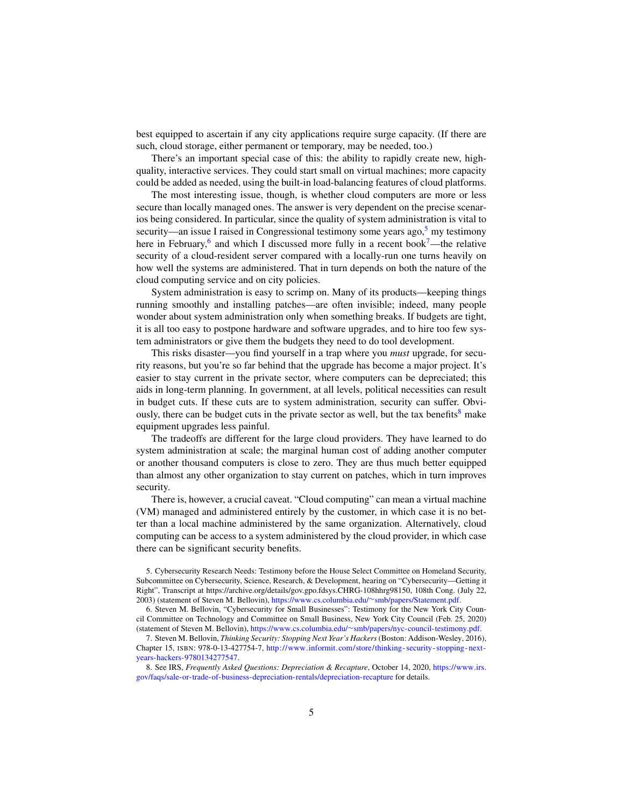best equipped to ascertain if any city applications require surge capacity. (If there are such, cloud storage, either permanent or temporary, may be needed, too.)

There's an important special case of this: the ability to rapidly create new, highquality, interactive services. They could start small on virtual machines; more capacity could be added as needed, using the built-in load-balancing features of cloud platforms.

The most interesting issue, though, is whether cloud computers are more or less secure than locally managed ones. The answer is very dependent on the precise scenarios being considered. In particular, since the quality of system administration is vital to security—an issue I raised in Congressional testimony some years ago, $5 \text{ my testimony}$  $5 \text{ my testimony}$ here in February,<sup>[6](#page-4-1)</sup> and which I discussed more fully in a recent book<sup>[7](#page-4-2)</sup>—the relative security of a cloud-resident server compared with a locally-run one turns heavily on how well the systems are administered. That in turn depends on both the nature of the cloud computing service and on city policies.

System administration is easy to scrimp on. Many of its products—keeping things running smoothly and installing patches—are often invisible; indeed, many people wonder about system administration only when something breaks. If budgets are tight, it is all too easy to postpone hardware and software upgrades, and to hire too few system administrators or give them the budgets they need to do tool development.

This risks disaster—you find yourself in a trap where you *must* upgrade, for security reasons, but you're so far behind that the upgrade has become a major project. It's easier to stay current in the private sector, where computers can be depreciated; this aids in long-term planning. In government, at all levels, political necessities can result in budget cuts. If these cuts are to system administration, security can suffer. Obviously, there can be budget cuts in the private sector as well, but the tax benefits $\delta$  make equipment upgrades less painful.

The tradeoffs are different for the large cloud providers. They have learned to do system administration at scale; the marginal human cost of adding another computer or another thousand computers is close to zero. They are thus much better equipped than almost any other organization to stay current on patches, which in turn improves security.

There is, however, a crucial caveat. "Cloud computing" can mean a virtual machine (VM) managed and administered entirely by the customer, in which case it is no better than a local machine administered by the same organization. Alternatively, cloud computing can be access to a system administered by the cloud provider, in which case there can be significant security benefits.

<span id="page-4-0"></span><sup>5.</sup> Cybersecurity Research Needs: Testimony before the House Select Committee on Homeland Security, Subcommittee on Cybersecurity, Science, Research, & Development, hearing on "Cybersecurity—Getting it Right", Transcript at https://archive.org/details/gov.gpo.fdsys.CHRG-108hhrg98150, 108th Cong. (July 22, 2003) (statement of Steven M. Bellovin), [https://www.cs.columbia.edu/](https://www.cs.columbia.edu/~smb/papers/Statement.pdf)∼smb/papers/Statement.pdf.

<span id="page-4-1"></span><sup>6.</sup> Steven M. Bellovin, "Cybersecurity for Small Businesses": Testimony for the New York City Council Committee on Technology and Committee on Small Business, New York City Council (Feb. 25, 2020) (statement of Steven M. Bellovin), https://www.cs.columbia.edu/∼[smb/papers/nyc-council-testimony.pdf.](https://www.cs.columbia.edu/~smb/papers/nyc-council-testimony.pdf)

<span id="page-4-2"></span><sup>7.</sup> Steven M. Bellovin, *Thinking Security: Stopping Next Year's Hackers*(Boston: Addison-Wesley, 2016), Chapter 15, ISBN: 978-0-13-427754-7, [http://www.informit.com/store/thinking- security- stopping- next](http://www.informit.com/store/thinking-security-stopping-next-years-hackers-9780134277547)[years-hackers-9780134277547.](http://www.informit.com/store/thinking-security-stopping-next-years-hackers-9780134277547)

<span id="page-4-3"></span><sup>8.</sup> See IRS, *Frequently Asked Questions: Depreciation & Recapture*, October 14, 2020, [https://www.irs.](https://www.irs.gov/faqs/sale-or-trade-of-business-depreciation-rentals/depreciation-recapture) [gov/faqs/sale-or-trade-of-business-depreciation-rentals/depreciation-recapture](https://www.irs.gov/faqs/sale-or-trade-of-business-depreciation-rentals/depreciation-recapture) for details.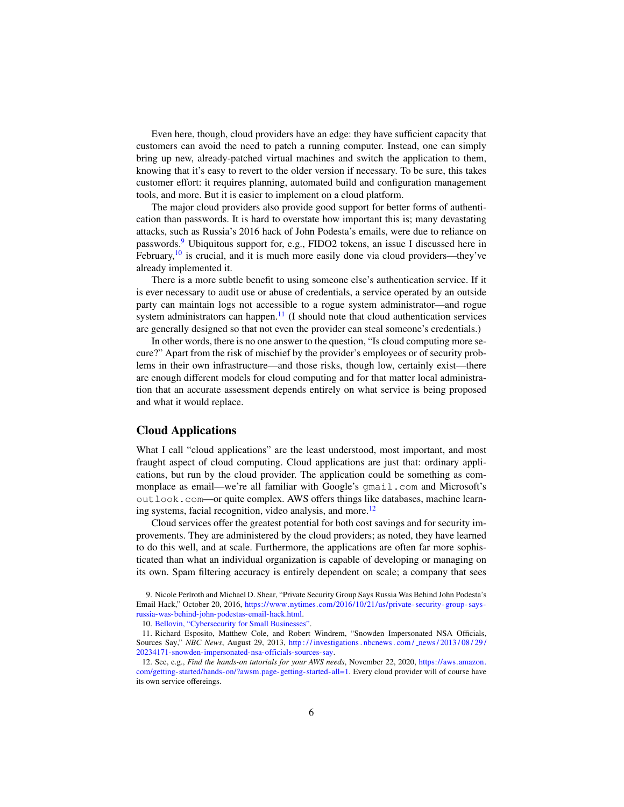Even here, though, cloud providers have an edge: they have sufficient capacity that customers can avoid the need to patch a running computer. Instead, one can simply bring up new, already-patched virtual machines and switch the application to them, knowing that it's easy to revert to the older version if necessary. To be sure, this takes customer effort: it requires planning, automated build and configuration management tools, and more. But it is easier to implement on a cloud platform.

The major cloud providers also provide good support for better forms of authentication than passwords. It is hard to overstate how important this is; many devastating attacks, such as Russia's 2016 hack of John Podesta's emails, were due to reliance on passwords.[9](#page-5-0) Ubiquitous support for, e.g., FIDO2 tokens, an issue I discussed here in February, $10$  is crucial, and it is much more easily done via cloud providers—they've already implemented it.

There is a more subtle benefit to using someone else's authentication service. If it is ever necessary to audit use or abuse of credentials, a service operated by an outside party can maintain logs not accessible to a rogue system administrator—and rogue system administrators can happen. $<sup>11</sup>$  $<sup>11</sup>$  $<sup>11</sup>$  (I should note that cloud authentication services</sup> are generally designed so that not even the provider can steal someone's credentials.)

In other words, there is no one answer to the question, "Is cloud computing more secure?" Apart from the risk of mischief by the provider's employees or of security problems in their own infrastructure—and those risks, though low, certainly exist—there are enough different models for cloud computing and for that matter local administration that an accurate assessment depends entirely on what service is being proposed and what it would replace.

#### Cloud Applications

What I call "cloud applications" are the least understood, most important, and most fraught aspect of cloud computing. Cloud applications are just that: ordinary applications, but run by the cloud provider. The application could be something as commonplace as email—we're all familiar with Google's qmail.com and Microsoft's outlook.com—or quite complex. AWS offers things like databases, machine learn-ing systems, facial recognition, video analysis, and more.<sup>[12](#page-5-3)</sup>

Cloud services offer the greatest potential for both cost savings and for security improvements. They are administered by the cloud providers; as noted, they have learned to do this well, and at scale. Furthermore, the applications are often far more sophisticated than what an individual organization is capable of developing or managing on its own. Spam filtering accuracy is entirely dependent on scale; a company that sees

<span id="page-5-2"></span><span id="page-5-1"></span>10. [Bellovin, "Cybersecurity for Small Businesses".](#page-4-1)

<span id="page-5-0"></span><sup>9.</sup> Nicole Perlroth and Michael D. Shear, "Private Security Group Says Russia Was Behind John Podesta's Email Hack," October 20, 2016, [https://www.nytimes.com/2016/10/21/us/private- security- group- says](https://www.nytimes.com/2016/10/21/us/private-security-group-says-russia-was-behind-john-podestas-email-hack.html)[russia-was-behind-john-podestas-email-hack.html.](https://www.nytimes.com/2016/10/21/us/private-security-group-says-russia-was-behind-john-podestas-email-hack.html)

<sup>11.</sup> Richard Esposito, Matthew Cole, and Robert Windrem, "Snowden Impersonated NSA Officials, Sources Say," *NBC News*, August 29, 2013, http://investigations.nbcnews.com/\_news/2013/08/29/ [20234171-snowden-impersonated-nsa-officials-sources-say.](http://investigations.nbcnews.com/_news/2013/08/29/20234171-snowden-impersonated-nsa-officials-sources-say)

<span id="page-5-3"></span><sup>12.</sup> See, e.g., *Find the hands-on tutorials for your AWS needs*, November 22, 2020, [https://aws.amazon.](https://aws.amazon.com/getting-started/hands-on/?awsm.page-getting-started-all=1) [com/getting-started/hands-on/?awsm.page-getting-started-all=1.](https://aws.amazon.com/getting-started/hands-on/?awsm.page-getting-started-all=1) Every cloud provider will of course have its own service offereings.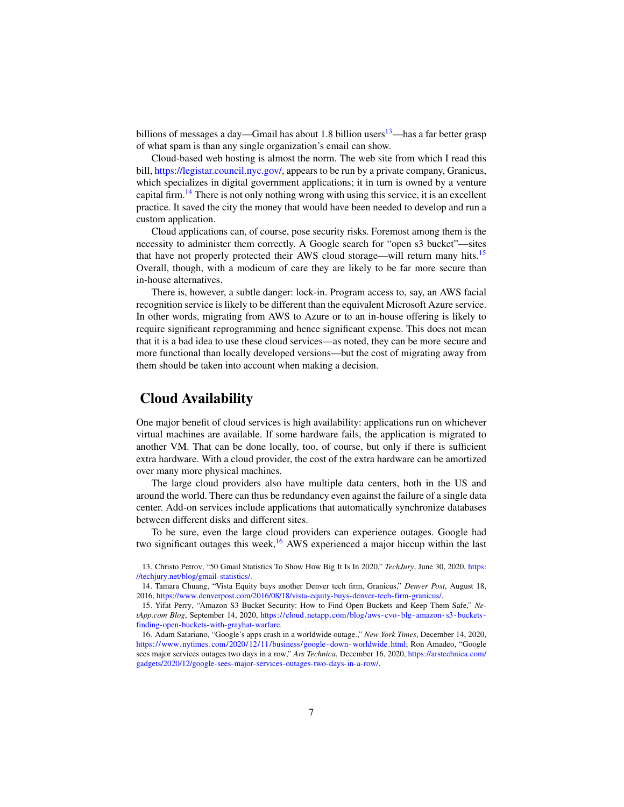billions of messages a day—Gmail has about 1.8 billion users<sup>[13](#page-6-0)</sup>—has a far better grasp of what spam is than any single organization's email can show.

Cloud-based web hosting is almost the norm. The web site from which I read this bill, [https://legistar.council.nyc.gov/,](https://legistar.council.nyc.gov/) appears to be run by a private company, Granicus, which specializes in digital government applications; it in turn is owned by a venture capital firm.<sup>[14](#page-6-1)</sup> There is not only nothing wrong with using this service, it is an excellent practice. It saved the city the money that would have been needed to develop and run a custom application.

Cloud applications can, of course, pose security risks. Foremost among them is the necessity to administer them correctly. A Google search for "open s3 bucket"—sites that have not properly protected their AWS cloud storage—will return many hits.[15](#page-6-2) Overall, though, with a modicum of care they are likely to be far more secure than in-house alternatives.

There is, however, a subtle danger: lock-in. Program access to, say, an AWS facial recognition service is likely to be different than the equivalent Microsoft Azure service. In other words, migrating from AWS to Azure or to an in-house offering is likely to require significant reprogramming and hence significant expense. This does not mean that it is a bad idea to use these cloud services—as noted, they can be more secure and more functional than locally developed versions—but the cost of migrating away from them should be taken into account when making a decision.

### Cloud Availability

One major benefit of cloud services is high availability: applications run on whichever virtual machines are available. If some hardware fails, the application is migrated to another VM. That can be done locally, too, of course, but only if there is sufficient extra hardware. With a cloud provider, the cost of the extra hardware can be amortized over many more physical machines.

The large cloud providers also have multiple data centers, both in the US and around the world. There can thus be redundancy even against the failure of a single data center. Add-on services include applications that automatically synchronize databases between different disks and different sites.

To be sure, even the large cloud providers can experience outages. Google had two significant outages this week, $16$  AWS experienced a major hiccup within the last

<span id="page-6-0"></span>13. Christo Petrov, "50 Gmail Statistics To Show How Big It Is In 2020," *TechJury*, June 30, 2020, [https:](https://techjury.net/blog/gmail-statistics/) [//techjury.net/blog/gmail-statistics/.](https://techjury.net/blog/gmail-statistics/)

<span id="page-6-1"></span>14. Tamara Chuang, "Vista Equity buys another Denver tech firm, Granicus," *Denver Post*, August 18, 2016, [https://www.denverpost.com/2016/08/18/vista-equity-buys-denver-tech-firm-granicus/.](https://www.denverpost.com/2016/08/18/vista-equity-buys-denver-tech-firm-granicus/)

<span id="page-6-3"></span>16. Adam Satariano, "Google's apps crash in a worldwide outage.," *New York Times*, December 14, 2020, [https://www.nytimes.com/2020/12/11/business/google- down- worldwide.html;](https://www.nytimes.com/2020/12/11/business/google-down-worldwide.html) Ron Amadeo, "Google sees major services outages two days in a row," *Ars Technica*, December 16, 2020, [https://arstechnica.com/](https://arstechnica.com/gadgets/2020/12/google-sees-major-services-outages-two-days-in-a-row/) [gadgets/2020/12/google-sees-major-services-outages-two-days-in-a-row/.](https://arstechnica.com/gadgets/2020/12/google-sees-major-services-outages-two-days-in-a-row/)

<span id="page-6-2"></span><sup>15.</sup> Yifat Perry, "Amazon S3 Bucket Security: How to Find Open Buckets and Keep Them Safe," *NetApp.com Blog*, September 14, 2020, [https://cloud.netapp.com/blog/aws- cvo- blg- amazon- s3- buckets](https://cloud.netapp.com/blog/aws-cvo-blg-amazon-s3-buckets-finding-open-buckets-with-grayhat-warfare)[finding-open-buckets-with-grayhat-warfare.](https://cloud.netapp.com/blog/aws-cvo-blg-amazon-s3-buckets-finding-open-buckets-with-grayhat-warfare)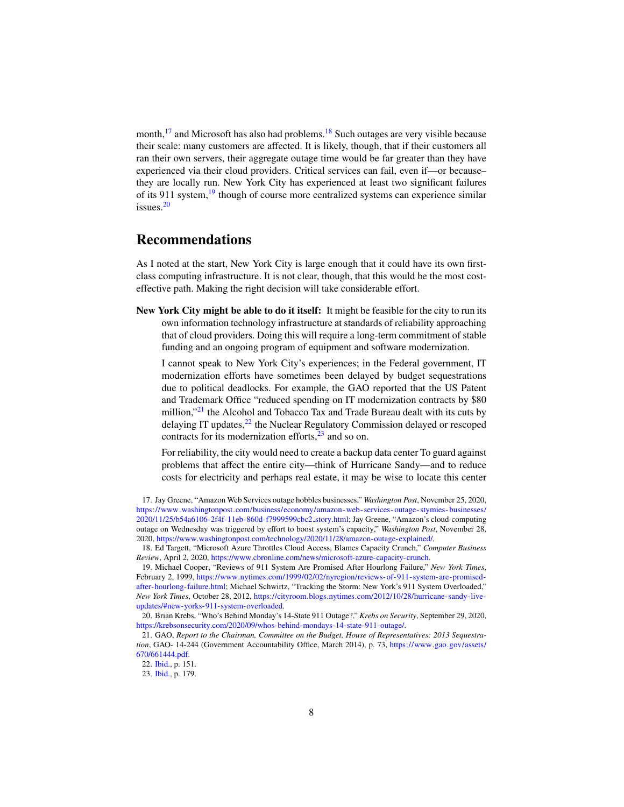month,  $17$  and Microsoft has also had problems.  $18$  Such outages are very visible because their scale: many customers are affected. It is likely, though, that if their customers all ran their own servers, their aggregate outage time would be far greater than they have experienced via their cloud providers. Critical services can fail, even if—or because– they are locally run. New York City has experienced at least two significant failures of its 911 system,<sup>[19](#page-7-2)</sup> though of course more centralized systems can experience similar issues.[20](#page-7-3)

## Recommendations

As I noted at the start, New York City is large enough that it could have its own firstclass computing infrastructure. It is not clear, though, that this would be the most costeffective path. Making the right decision will take considerable effort.

New York City might be able to do it itself: It might be feasible for the city to run its own information technology infrastructure at standards of reliability approaching that of cloud providers. Doing this will require a long-term commitment of stable funding and an ongoing program of equipment and software modernization.

I cannot speak to New York City's experiences; in the Federal government, IT modernization efforts have sometimes been delayed by budget sequestrations due to political deadlocks. For example, the GAO reported that the US Patent and Trademark Office "reduced spending on IT modernization contracts by \$80 million,"<sup>[21](#page-7-4)</sup> the Alcohol and Tobacco Tax and Trade Bureau dealt with its cuts by delaying IT updates,<sup>[22](#page-7-5)</sup> the Nuclear Regulatory Commission delayed or rescoped contracts for its modernization efforts, $23$  and so on.

For reliability, the city would need to create a backup data center To guard against problems that affect the entire city—think of Hurricane Sandy—and to reduce costs for electricity and perhaps real estate, it may be wise to locate this center

<span id="page-7-0"></span>17. Jay Greene, "Amazon Web Services outage hobbles businesses," *Washington Post*, November 25, 2020, [https://www.washingtonpost.com/business/economy/amazon- web- services- outage- stymies- businesses/](https://www.washingtonpost.com/business/economy/amazon-web-services-outage-stymies-businesses/2020/11/25/b54a6106-2f4f-11eb-860d-f7999599cbc2_story.html) [2020/11/25/b54a6106-2f4f-11eb-860d-f7999599cbc2](https://www.washingtonpost.com/business/economy/amazon-web-services-outage-stymies-businesses/2020/11/25/b54a6106-2f4f-11eb-860d-f7999599cbc2_story.html) story.html; Jay Greene, "Amazon's cloud-computing outage on Wednesday was triggered by effort to boost system's capacity," *Washington Post*, November 28, 2020, [https://www.washingtonpost.com/technology/2020/11/28/amazon-outage-explained/.](https://www.washingtonpost.com/technology/2020/11/28/amazon-outage-explained/)

<span id="page-7-2"></span>19. Michael Cooper, "Reviews of 911 System Are Promised After Hourlong Failure," *New York Times*, February 2, 1999, [https://www.nytimes.com/1999/02/02/nyregion/reviews-of-911-system-are-promised](https://www.nytimes.com/1999/02/02/nyregion/reviews-of-911-system-are-promised-after-hourlong-failure.html)[after-hourlong-failure.html;](https://www.nytimes.com/1999/02/02/nyregion/reviews-of-911-system-are-promised-after-hourlong-failure.html) Michael Schwirtz, "Tracking the Storm: New York's 911 System Overloaded," *New York Times*, October 28, 2012, [https://cityroom.blogs.nytimes.com/2012/10/28/hurricane-sandy-live](https://cityroom.blogs.nytimes.com/2012/10/28/hurricane-sandy-live-updates/#new-yorks-911-system-overloaded)[updates/#new-yorks-911-system-overloaded.](https://cityroom.blogs.nytimes.com/2012/10/28/hurricane-sandy-live-updates/#new-yorks-911-system-overloaded)

<span id="page-7-1"></span><sup>18.</sup> Ed Targett, "Microsoft Azure Throttles Cloud Access, Blames Capacity Crunch," *Computer Business Review*, April 2, 2020, [https://www.cbronline.com/news/microsoft-azure-capacity-crunch.](https://www.cbronline.com/news/microsoft-azure-capacity-crunch)

<span id="page-7-3"></span><sup>20.</sup> Brian Krebs, "Who's Behind Monday's 14-State 911 Outage?," *Krebs on Security*, September 29, 2020, [https://krebsonsecurity.com/2020/09/whos-behind-mondays-14-state-911-outage/.](https://krebsonsecurity.com/2020/09/whos-behind-mondays-14-state-911-outage/)

<span id="page-7-4"></span><sup>21.</sup> GAO, *Report to the Chairman, Committee on the Budget, House of Representatives: 2013 Sequestration*, GAO- 14-244 (Government Accountability Office, March 2014), p. 73, [https://www.gao.gov/assets/](https://www.gao.gov/assets/670/661444.pdf) [670/661444.pdf.](https://www.gao.gov/assets/670/661444.pdf)

<span id="page-7-5"></span><sup>22.</sup> [Ibid.,](#page-7-4) p. 151.

<span id="page-7-6"></span><sup>23.</sup> [Ibid.,](#page-7-4) p. 179.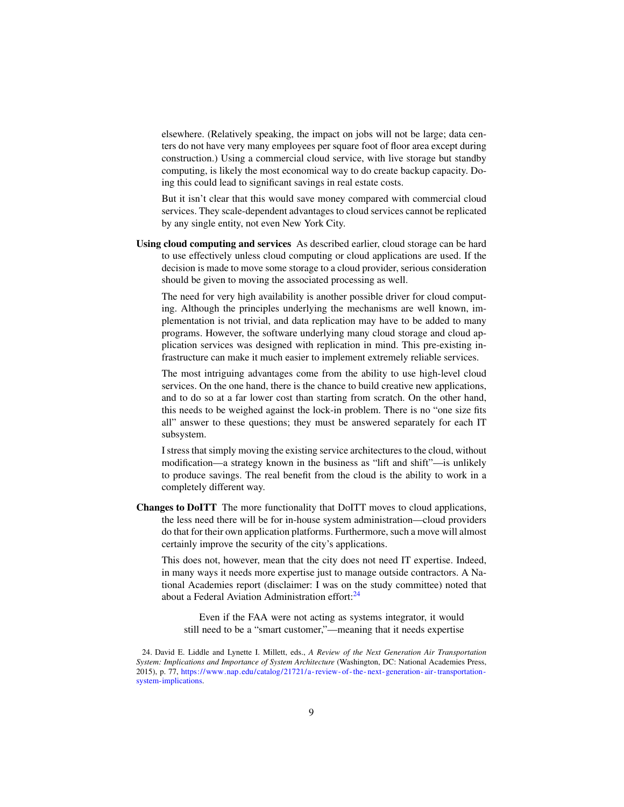elsewhere. (Relatively speaking, the impact on jobs will not be large; data centers do not have very many employees per square foot of floor area except during construction.) Using a commercial cloud service, with live storage but standby computing, is likely the most economical way to do create backup capacity. Doing this could lead to significant savings in real estate costs.

But it isn't clear that this would save money compared with commercial cloud services. They scale-dependent advantages to cloud services cannot be replicated by any single entity, not even New York City.

Using cloud computing and services As described earlier, cloud storage can be hard to use effectively unless cloud computing or cloud applications are used. If the decision is made to move some storage to a cloud provider, serious consideration should be given to moving the associated processing as well.

The need for very high availability is another possible driver for cloud computing. Although the principles underlying the mechanisms are well known, implementation is not trivial, and data replication may have to be added to many programs. However, the software underlying many cloud storage and cloud application services was designed with replication in mind. This pre-existing infrastructure can make it much easier to implement extremely reliable services.

The most intriguing advantages come from the ability to use high-level cloud services. On the one hand, there is the chance to build creative new applications, and to do so at a far lower cost than starting from scratch. On the other hand, this needs to be weighed against the lock-in problem. There is no "one size fits all" answer to these questions; they must be answered separately for each IT subsystem.

I stress that simply moving the existing service architectures to the cloud, without modification—a strategy known in the business as "lift and shift"—is unlikely to produce savings. The real benefit from the cloud is the ability to work in a completely different way.

Changes to DoITT The more functionality that DoITT moves to cloud applications, the less need there will be for in-house system administration—cloud providers do that for their own application platforms. Furthermore, such a move will almost certainly improve the security of the city's applications.

This does not, however, mean that the city does not need IT expertise. Indeed, in many ways it needs more expertise just to manage outside contractors. A National Academies report (disclaimer: I was on the study committee) noted that about a Federal Aviation Administration effort:<sup>[24](#page-8-0)</sup>

Even if the FAA were not acting as systems integrator, it would still need to be a "smart customer,"—meaning that it needs expertise

<span id="page-8-0"></span><sup>24.</sup> David E. Liddle and Lynette I. Millett, eds., *A Review of the Next Generation Air Transportation System: Implications and Importance of System Architecture* (Washington, DC: National Academies Press, 2015), p. 77, [https://www.nap.edu/catalog/21721/a- review- of-the- next- generation- air-transportation](https://www.nap.edu/catalog/21721/a-review-of-the-next-generation-air-transportation-system-implications)[system-implications.](https://www.nap.edu/catalog/21721/a-review-of-the-next-generation-air-transportation-system-implications)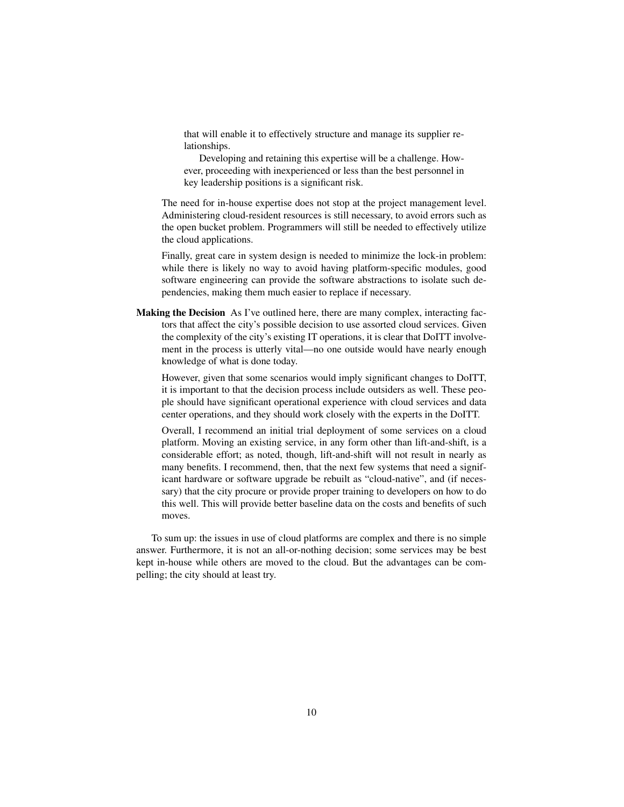that will enable it to effectively structure and manage its supplier relationships.

Developing and retaining this expertise will be a challenge. However, proceeding with inexperienced or less than the best personnel in key leadership positions is a significant risk.

The need for in-house expertise does not stop at the project management level. Administering cloud-resident resources is still necessary, to avoid errors such as the open bucket problem. Programmers will still be needed to effectively utilize the cloud applications.

Finally, great care in system design is needed to minimize the lock-in problem: while there is likely no way to avoid having platform-specific modules, good software engineering can provide the software abstractions to isolate such dependencies, making them much easier to replace if necessary.

Making the Decision As I've outlined here, there are many complex, interacting factors that affect the city's possible decision to use assorted cloud services. Given the complexity of the city's existing IT operations, it is clear that DoITT involvement in the process is utterly vital—no one outside would have nearly enough knowledge of what is done today.

However, given that some scenarios would imply significant changes to DoITT, it is important to that the decision process include outsiders as well. These people should have significant operational experience with cloud services and data center operations, and they should work closely with the experts in the DoITT.

Overall, I recommend an initial trial deployment of some services on a cloud platform. Moving an existing service, in any form other than lift-and-shift, is a considerable effort; as noted, though, lift-and-shift will not result in nearly as many benefits. I recommend, then, that the next few systems that need a significant hardware or software upgrade be rebuilt as "cloud-native", and (if necessary) that the city procure or provide proper training to developers on how to do this well. This will provide better baseline data on the costs and benefits of such moves.

To sum up: the issues in use of cloud platforms are complex and there is no simple answer. Furthermore, it is not an all-or-nothing decision; some services may be best kept in-house while others are moved to the cloud. But the advantages can be compelling; the city should at least try.